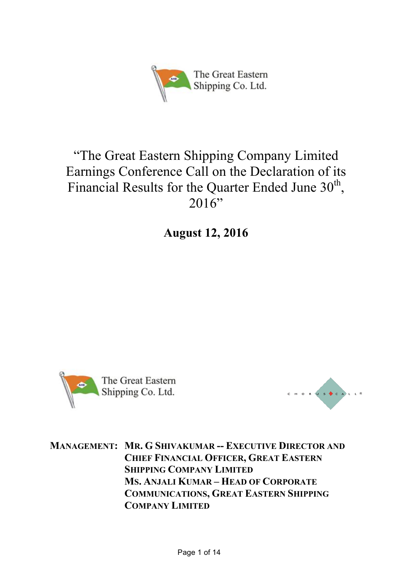

# "The Great Eastern Shipping Company Limited Earnings Conference Call on the Declaration of its Financial Results for the Quarter Ended June  $30<sup>th</sup>$ ,  $2016"$

**August 12, 2016**





**MANAGEMENT: MR. G SHIVAKUMAR -- EXECUTIVE DIRECTOR AND CHIEF FINANCIAL OFFICER, GREAT EASTERN SHIPPING COMPANY LIMITED MS. ANJALI KUMAR – HEAD OF CORPORATE COMMUNICATIONS, GREAT EASTERN SHIPPING COMPANY LIMITED**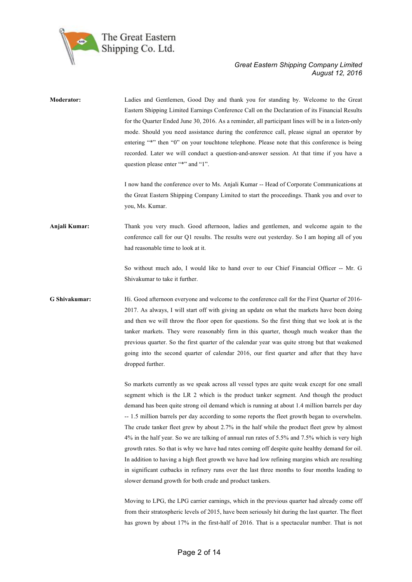

| Moderator:    | Ladies and Gentlemen, Good Day and thank you for standing by. Welcome to the Great<br>Eastern Shipping Limited Earnings Conference Call on the Declaration of its Financial Results<br>for the Quarter Ended June 30, 2016. As a reminder, all participant lines will be in a listen-only<br>mode. Should you need assistance during the conference call, please signal an operator by<br>entering "*" then "0" on your touchtone telephone. Please note that this conference is being<br>recorded. Later we will conduct a question-and-answer session. At that time if you have a<br>question please enter "*" and "1".                                                                                                                                                                                                                                                                                                                                   |
|---------------|-------------------------------------------------------------------------------------------------------------------------------------------------------------------------------------------------------------------------------------------------------------------------------------------------------------------------------------------------------------------------------------------------------------------------------------------------------------------------------------------------------------------------------------------------------------------------------------------------------------------------------------------------------------------------------------------------------------------------------------------------------------------------------------------------------------------------------------------------------------------------------------------------------------------------------------------------------------|
|               | I now hand the conference over to Ms. Anjali Kumar -- Head of Corporate Communications at<br>the Great Eastern Shipping Company Limited to start the proceedings. Thank you and over to<br>you, Ms. Kumar.                                                                                                                                                                                                                                                                                                                                                                                                                                                                                                                                                                                                                                                                                                                                                  |
| Anjali Kumar: | Thank you very much. Good afternoon, ladies and gentlemen, and welcome again to the<br>conference call for our Q1 results. The results were out yesterday. So I am hoping all of you<br>had reasonable time to look at it.                                                                                                                                                                                                                                                                                                                                                                                                                                                                                                                                                                                                                                                                                                                                  |
|               | So without much ado, I would like to hand over to our Chief Financial Officer -- Mr. G<br>Shivakumar to take it further.                                                                                                                                                                                                                                                                                                                                                                                                                                                                                                                                                                                                                                                                                                                                                                                                                                    |
| G Shivakumar: | Hi. Good afternoon everyone and welcome to the conference call for the First Quarter of 2016-<br>2017. As always, I will start off with giving an update on what the markets have been doing<br>and then we will throw the floor open for questions. So the first thing that we look at is the<br>tanker markets. They were reasonably firm in this quarter, though much weaker than the<br>previous quarter. So the first quarter of the calendar year was quite strong but that weakened<br>going into the second quarter of calendar 2016, our first quarter and after that they have<br>dropped further.                                                                                                                                                                                                                                                                                                                                                |
|               | So markets currently as we speak across all vessel types are quite weak except for one small<br>segment which is the LR 2 which is the product tanker segment. And though the product<br>demand has been quite strong oil demand which is running at about 1.4 million barrels per day<br>-- 1.5 million barrels per day according to some reports the fleet growth began to overwhelm.<br>The crude tanker fleet grew by about 2.7% in the half while the product fleet grew by almost<br>4% in the half year. So we are talking of annual run rates of 5.5% and 7.5% which is very high<br>growth rates. So that is why we have had rates coming off despite quite healthy demand for oil.<br>In addition to having a high fleet growth we have had low refining margins which are resulting<br>in significant cutbacks in refinery runs over the last three months to four months leading to<br>slower demand growth for both crude and product tankers. |
|               | Moving to LPG, the LPG carrier earnings, which in the previous quarter had already come off<br>from their stratospheric levels of 2015, have been seriously hit during the last quarter. The fleet<br>has grown by about 17% in the first-half of 2016. That is a spectacular number. That is not                                                                                                                                                                                                                                                                                                                                                                                                                                                                                                                                                                                                                                                           |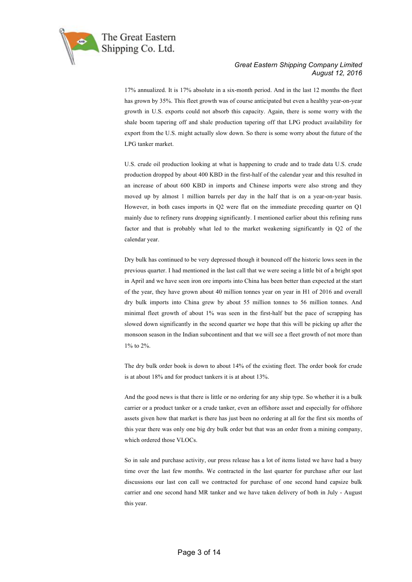

17% annualized. It is 17% absolute in a six-month period. And in the last 12 months the fleet has grown by 35%. This fleet growth was of course anticipated but even a healthy year-on-year growth in U.S. exports could not absorb this capacity. Again, there is some worry with the shale boom tapering off and shale production tapering off that LPG product availability for export from the U.S. might actually slow down. So there is some worry about the future of the LPG tanker market.

U.S. crude oil production looking at what is happening to crude and to trade data U.S. crude production dropped by about 400 KBD in the first-half of the calendar year and this resulted in an increase of about 600 KBD in imports and Chinese imports were also strong and they moved up by almost 1 million barrels per day in the half that is on a year-on-year basis. However, in both cases imports in Q2 were flat on the immediate preceding quarter on Q1 mainly due to refinery runs dropping significantly. I mentioned earlier about this refining runs factor and that is probably what led to the market weakening significantly in Q2 of the calendar year.

Dry bulk has continued to be very depressed though it bounced off the historic lows seen in the previous quarter. I had mentioned in the last call that we were seeing a little bit of a bright spot in April and we have seen iron ore imports into China has been better than expected at the start of the year, they have grown about 40 million tonnes year on year in H1 of 2016 and overall dry bulk imports into China grew by about 55 million tonnes to 56 million tonnes. And minimal fleet growth of about 1% was seen in the first-half but the pace of scrapping has slowed down significantly in the second quarter we hope that this will be picking up after the monsoon season in the Indian subcontinent and that we will see a fleet growth of not more than 1% to 2%.

The dry bulk order book is down to about 14% of the existing fleet. The order book for crude is at about 18% and for product tankers it is at about 13%.

And the good news is that there is little or no ordering for any ship type. So whether it is a bulk carrier or a product tanker or a crude tanker, even an offshore asset and especially for offshore assets given how that market is there has just been no ordering at all for the first six months of this year there was only one big dry bulk order but that was an order from a mining company, which ordered those VLOCs.

So in sale and purchase activity, our press release has a lot of items listed we have had a busy time over the last few months. We contracted in the last quarter for purchase after our last discussions our last con call we contracted for purchase of one second hand capsize bulk carrier and one second hand MR tanker and we have taken delivery of both in July - August this year.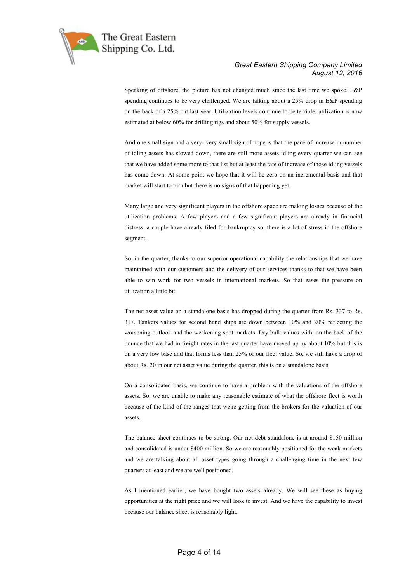

Speaking of offshore, the picture has not changed much since the last time we spoke. E&P spending continues to be very challenged. We are talking about a 25% drop in E&P spending on the back of a 25% cut last year. Utilization levels continue to be terrible, utilization is now estimated at below 60% for drilling rigs and about 50% for supply vessels.

And one small sign and a very- very small sign of hope is that the pace of increase in number of idling assets has slowed down, there are still more assets idling every quarter we can see that we have added some more to that list but at least the rate of increase of those idling vessels has come down. At some point we hope that it will be zero on an incremental basis and that market will start to turn but there is no signs of that happening yet.

Many large and very significant players in the offshore space are making losses because of the utilization problems. A few players and a few significant players are already in financial distress, a couple have already filed for bankruptcy so, there is a lot of stress in the offshore segment.

So, in the quarter, thanks to our superior operational capability the relationships that we have maintained with our customers and the delivery of our services thanks to that we have been able to win work for two vessels in international markets. So that eases the pressure on utilization a little bit.

The net asset value on a standalone basis has dropped during the quarter from Rs. 337 to Rs. 317. Tankers values for second hand ships are down between 10% and 20% reflecting the worsening outlook and the weakening spot markets. Dry bulk values with, on the back of the bounce that we had in freight rates in the last quarter have moved up by about 10% but this is on a very low base and that forms less than 25% of our fleet value. So, we still have a drop of about Rs. 20 in our net asset value during the quarter, this is on a standalone basis.

On a consolidated basis, we continue to have a problem with the valuations of the offshore assets. So, we are unable to make any reasonable estimate of what the offshore fleet is worth because of the kind of the ranges that we're getting from the brokers for the valuation of our assets.

The balance sheet continues to be strong. Our net debt standalone is at around \$150 million and consolidated is under \$400 million. So we are reasonably positioned for the weak markets and we are talking about all asset types going through a challenging time in the next few quarters at least and we are well positioned.

As I mentioned earlier, we have bought two assets already. We will see these as buying opportunities at the right price and we will look to invest. And we have the capability to invest because our balance sheet is reasonably light.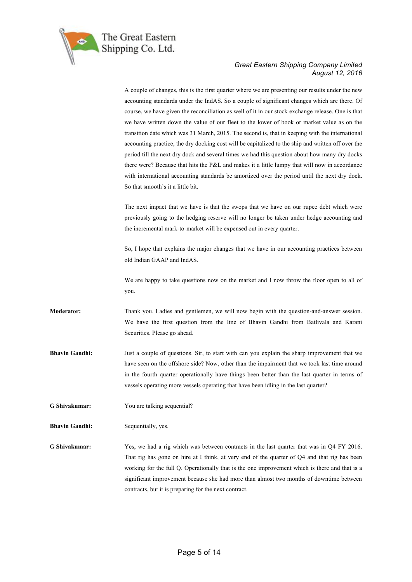

A couple of changes, this is the first quarter where we are presenting our results under the new accounting standards under the IndAS. So a couple of significant changes which are there. Of course, we have given the reconciliation as well of it in our stock exchange release. One is that we have written down the value of our fleet to the lower of book or market value as on the transition date which was 31 March, 2015. The second is, that in keeping with the international accounting practice, the dry docking cost will be capitalized to the ship and written off over the period till the next dry dock and several times we had this question about how many dry docks there were? Because that hits the P&L and makes it a little lumpy that will now in accordance with international accounting standards be amortized over the period until the next dry dock. So that smooth's it a little bit. The next impact that we have is that the swops that we have on our rupee debt which were previously going to the hedging reserve will no longer be taken under hedge accounting and the incremental mark-to-market will be expensed out in every quarter. So, I hope that explains the major changes that we have in our accounting practices between old Indian GAAP and IndAS. We are happy to take questions now on the market and I now throw the floor open to all of you. **Moderator:** Thank you. Ladies and gentlemen, we will now begin with the question-and-answer session. We have the first question from the line of Bhavin Gandhi from Batlivala and Karani Securities. Please go ahead. **Bhavin Gandhi:** Just a couple of questions. Sir, to start with can you explain the sharp improvement that we have seen on the offshore side? Now, other than the impairment that we took last time around in the fourth quarter operationally have things been better than the last quarter in terms of vessels operating more vessels operating that have been idling in the last quarter? **G Shivakumar:** You are talking sequential? **Bhavin Gandhi:** Sequentially, yes. **G Shivakumar:** Yes, we had a rig which was between contracts in the last quarter that was in Q4 FY 2016. That rig has gone on hire at I think, at very end of the quarter of Q4 and that rig has been working for the full Q. Operationally that is the one improvement which is there and that is a significant improvement because she had more than almost two months of downtime between contracts, but it is preparing for the next contract.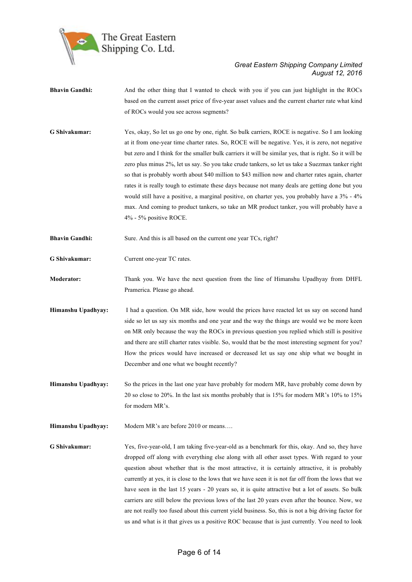

- **Bhavin Gandhi:** And the other thing that I wanted to check with you if you can just highlight in the ROCs based on the current asset price of five-year asset values and the current charter rate what kind of ROCs would you see across segments?
- **G Shivakumar:** Yes, okay, So let us go one by one, right. So bulk carriers, ROCE is negative. So I am looking at it from one-year time charter rates. So, ROCE will be negative. Yes, it is zero, not negative but zero and I think for the smaller bulk carriers it will be similar yes, that is right. So it will be zero plus minus 2%, let us say. So you take crude tankers, so let us take a Suezmax tanker right so that is probably worth about \$40 million to \$43 million now and charter rates again, charter rates it is really tough to estimate these days because not many deals are getting done but you would still have a positive, a marginal positive, on charter yes, you probably have a 3% - 4% max. And coming to product tankers, so take an MR product tanker, you will probably have a 4% - 5% positive ROCE.
- **Bhavin Gandhi:** Sure. And this is all based on the current one year TCs, right?
- **G Shivakumar:** Current one-year TC rates.
- **Moderator:** Thank you. We have the next question from the line of Himanshu Upadhyay from DHFL Pramerica. Please go ahead.
- **Himanshu Upadhyay:** I had a question. On MR side, how would the prices have reacted let us say on second hand side so let us say six months and one year and the way the things are would we be more keen on MR only because the way the ROCs in previous question you replied which still is positive and there are still charter rates visible. So, would that be the most interesting segment for you? How the prices would have increased or decreased let us say one ship what we bought in December and one what we bought recently?
- **Himanshu Upadhyay:** So the prices in the last one year have probably for modern MR, have probably come down by 20 so close to 20%. In the last six months probably that is 15% for modern MR's 10% to 15% for modern MR's.
- **Himanshu Upadhyay:** Modern MR's are before 2010 or means....

**G Shivakumar:** Yes, five-year-old, I am taking five-year-old as a benchmark for this, okay. And so, they have dropped off along with everything else along with all other asset types. With regard to your question about whether that is the most attractive, it is certainly attractive, it is probably currently at yes, it is close to the lows that we have seen it is not far off from the lows that we have seen in the last 15 years - 20 years so, it is quite attractive but a lot of assets. So bulk carriers are still below the previous lows of the last 20 years even after the bounce. Now, we are not really too fused about this current yield business. So, this is not a big driving factor for us and what is it that gives us a positive ROC because that is just currently. You need to look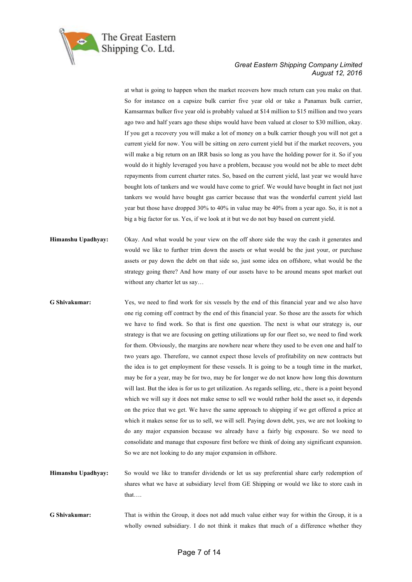

at what is going to happen when the market recovers how much return can you make on that. So for instance on a capsize bulk carrier five year old or take a Panamax bulk carrier, Kamsarmax bulker five year old is probably valued at \$14 million to \$15 million and two years ago two and half years ago these ships would have been valued at closer to \$30 million, okay. If you get a recovery you will make a lot of money on a bulk carrier though you will not get a current yield for now. You will be sitting on zero current yield but if the market recovers, you will make a big return on an IRR basis so long as you have the holding power for it. So if you would do it highly leveraged you have a problem, because you would not be able to meet debt repayments from current charter rates. So, based on the current yield, last year we would have bought lots of tankers and we would have come to grief. We would have bought in fact not just tankers we would have bought gas carrier because that was the wonderful current yield last year but those have dropped 30% to 40% in value may be 40% from a year ago. So, it is not a big a big factor for us. Yes, if we look at it but we do not buy based on current yield.

- **Himanshu Upadhyay:** Okay. And what would be your view on the off shore side the way the cash it generates and would we like to further trim down the assets or what would be the just your, or purchase assets or pay down the debt on that side so, just some idea on offshore, what would be the strategy going there? And how many of our assets have to be around means spot market out without any charter let us say…
- **G Shivakumar:** Yes, we need to find work for six vessels by the end of this financial year and we also have one rig coming off contract by the end of this financial year. So those are the assets for which we have to find work. So that is first one question. The next is what our strategy is, our strategy is that we are focusing on getting utilizations up for our fleet so, we need to find work for them. Obviously, the margins are nowhere near where they used to be even one and half to two years ago. Therefore, we cannot expect those levels of profitability on new contracts but the idea is to get employment for these vessels. It is going to be a tough time in the market, may be for a year, may be for two, may be for longer we do not know how long this downturn will last. But the idea is for us to get utilization. As regards selling, etc., there is a point beyond which we will say it does not make sense to sell we would rather hold the asset so, it depends on the price that we get. We have the same approach to shipping if we get offered a price at which it makes sense for us to sell, we will sell. Paying down debt, yes, we are not looking to do any major expansion because we already have a fairly big exposure. So we need to consolidate and manage that exposure first before we think of doing any significant expansion. So we are not looking to do any major expansion in offshore.
- **Himanshu Upadhyay:** So would we like to transfer dividends or let us say preferential share early redemption of shares what we have at subsidiary level from GE Shipping or would we like to store cash in that….
- **G Shivakumar:** That is within the Group, it does not add much value either way for within the Group, it is a wholly owned subsidiary. I do not think it makes that much of a difference whether they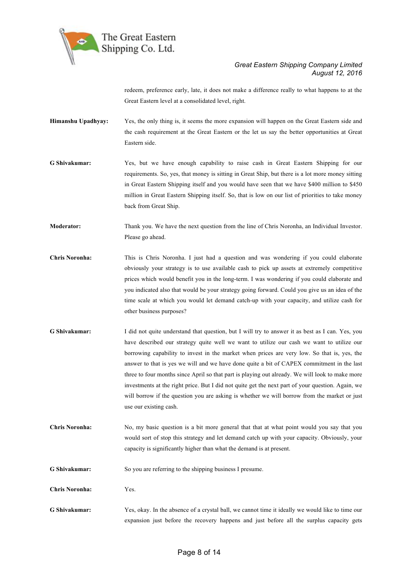

redeem, preference early, late, it does not make a difference really to what happens to at the Great Eastern level at a consolidated level, right.

- **Himanshu Upadhyay:** Yes, the only thing is, it seems the more expansion will happen on the Great Eastern side and the cash requirement at the Great Eastern or the let us say the better opportunities at Great Eastern side.
- **G Shivakumar:** Yes, but we have enough capability to raise cash in Great Eastern Shipping for our requirements. So, yes, that money is sitting in Great Ship, but there is a lot more money sitting in Great Eastern Shipping itself and you would have seen that we have \$400 million to \$450 million in Great Eastern Shipping itself. So, that is low on our list of priorities to take money back from Great Ship.
- **Moderator:** Thank you. We have the next question from the line of Chris Noronha, an Individual Investor. Please go ahead.
- **Chris Noronha:** This is Chris Noronha. I just had a question and was wondering if you could elaborate obviously your strategy is to use available cash to pick up assets at extremely competitive prices which would benefit you in the long-term. I was wondering if you could elaborate and you indicated also that would be your strategy going forward. Could you give us an idea of the time scale at which you would let demand catch-up with your capacity, and utilize cash for other business purposes?
- **G Shivakumar:** I did not quite understand that question, but I will try to answer it as best as I can. Yes, you have described our strategy quite well we want to utilize our cash we want to utilize our borrowing capability to invest in the market when prices are very low. So that is, yes, the answer to that is yes we will and we have done quite a bit of CAPEX commitment in the last three to four months since April so that part is playing out already. We will look to make more investments at the right price. But I did not quite get the next part of your question. Again, we will borrow if the question you are asking is whether we will borrow from the market or just use our existing cash.
- **Chris Noronha:** No, my basic question is a bit more general that that at what point would you say that you would sort of stop this strategy and let demand catch up with your capacity. Obviously, your capacity is significantly higher than what the demand is at present.
- **G Shivakumar:** So you are referring to the shipping business I presume.
- **Chris Noronha:** Yes.
- **G Shivakumar:** Yes, okay. In the absence of a crystal ball, we cannot time it ideally we would like to time our expansion just before the recovery happens and just before all the surplus capacity gets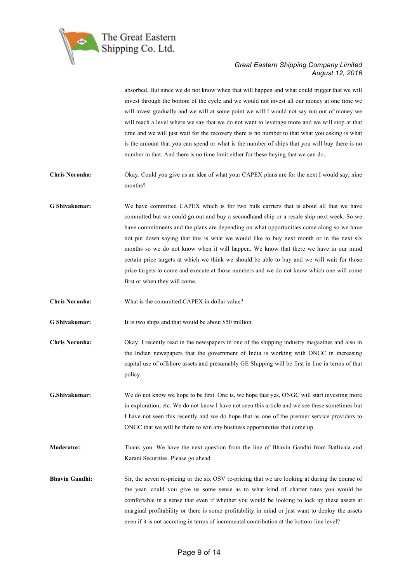

absorbed. But since we do not know when that will happen and what could trigger that we will invest through the bottom of the cycle and we would not invest all our money at one time we will invest gradually and we will at some point we will I would not say run out of money we will reach a level where we say that we do not want to leverage more and we will stop at that time and we will just wait for the recovery there is no number to that what you asking is what is the amount that you can spend or what is the number of ships that you will buy there is no number in that. And there is no time limit either for these buying that we can do.

**Chris Noronha:** Okay. Could you give us an idea of what your CAPEX plans are for the next I would say, nine months?

**G Shivakumar:** We have committed CAPEX which is for two bulk carriers that is about all that we have committed but we could go out and buy a secondhand ship or a resale ship next week. So we have commitments and the plans are depending on what opportunities come along so we have not put down saying that this is what we would like to buy next month or in the next six months so we do not know when it will happen. We know that there we have in our mind certain price targets at which we think we should be able to buy and we will wait for those price targets to come and execute at those numbers and we do not know which one will come first or when they will come.

**Chris Noronha:** What is the committed CAPEX in dollar value?

**G Shivakumar: I**t is two ships and that would be about \$50 million.

- **Chris Noronha:** Okay. I recently read in the newspapers in one of the shipping industry magazines and also in the Indian newspapers that the government of India is working with ONGC in increasing capital use of offshore assets and presumably GE Shipping will be first in line in terms of that policy.
- **G.Shivakumar:** We do not know we hope to be first. One is, we hope that yes, ONGC will start investing more in exploration, etc. We do not know I have not seen this article and we see these sometimes but I have not seen this recently and we do hope that as one of the premier service providers to ONGC that we will be there to win any business opportunities that come up.

**Moderator:** Thank you. We have the next question from the line of Bhavin Gandhi from Batlivala and Karani Securities. Please go ahead.

**Bhavin Gandhi:** Sir, the seven re-pricing or the six OSV re-pricing that we are looking at during the course of the year, could you give us some sense as to what kind of charter rates you would be comfortable in a sense that even if whether you would be looking to lock up these assets at marginal profitability or there is some profitability in mind or just want to deploy the assets even if it is not accreting in terms of incremental contribution at the bottom-line level?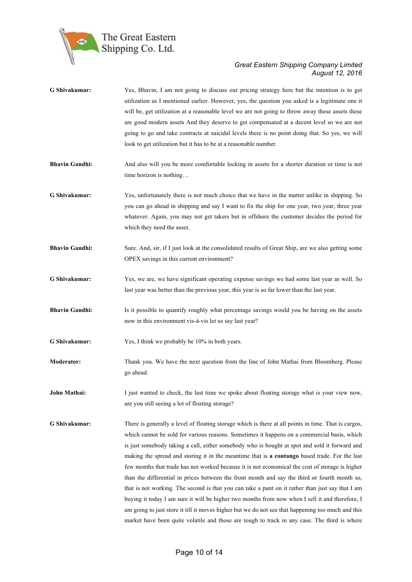

| G Shivakumar:         | Yes, Bhavin, I am not going to discuss our pricing strategy here but the intention is to get<br>utilization as I mentioned earlier. However, yes, the question you asked is a legitimate one it<br>will be, get utilization at a reasonable level we are not going to throw away these assets these<br>are good modern assets And they deserve to get compensated at a decent level so we are not<br>going to go and take contracts at suicidal levels there is no point doing that. So yes, we will<br>look to get utilization but it has to be at a reasonable number.                                                                                                                                                                                                                                                                                                                                              |
|-----------------------|-----------------------------------------------------------------------------------------------------------------------------------------------------------------------------------------------------------------------------------------------------------------------------------------------------------------------------------------------------------------------------------------------------------------------------------------------------------------------------------------------------------------------------------------------------------------------------------------------------------------------------------------------------------------------------------------------------------------------------------------------------------------------------------------------------------------------------------------------------------------------------------------------------------------------|
| <b>Bhavin Gandhi:</b> | And also will you be more comfortable locking in assets for a shorter duration or time is not<br>time horizon is nothing                                                                                                                                                                                                                                                                                                                                                                                                                                                                                                                                                                                                                                                                                                                                                                                              |
| G Shivakumar:         | Yes, unfortunately there is not much choice that we have in the matter unlike in shipping. So<br>you can go ahead in shipping and say I want to fix the ship for one year, two year, three year<br>whatever. Again, you may not get takers but in offshore the customer decides the period for<br>which they need the asset.                                                                                                                                                                                                                                                                                                                                                                                                                                                                                                                                                                                          |
| <b>Bhavin Gandhi:</b> | Sure. And, sir, if I just look at the consolidated results of Great Ship, are we also getting some<br>OPEX savings in this current environment?                                                                                                                                                                                                                                                                                                                                                                                                                                                                                                                                                                                                                                                                                                                                                                       |
| G Shivakumar:         | Yes, we are, we have significant operating expense savings we had some last year as well. So<br>last year was better than the previous year, this year is so far lower than the last year.                                                                                                                                                                                                                                                                                                                                                                                                                                                                                                                                                                                                                                                                                                                            |
| <b>Bhavin Gandhi:</b> | Is it possible to quantify roughly what percentage savings would you be having on the assets<br>now in this environment vis-à-vis let us say last year?                                                                                                                                                                                                                                                                                                                                                                                                                                                                                                                                                                                                                                                                                                                                                               |
| G Shivakumar:         | Yes, I think we probably be 10% in both years.                                                                                                                                                                                                                                                                                                                                                                                                                                                                                                                                                                                                                                                                                                                                                                                                                                                                        |
| <b>Moderator:</b>     | Thank you. We have the next question from the line of John Mathai from Bloomberg. Please<br>go ahead.                                                                                                                                                                                                                                                                                                                                                                                                                                                                                                                                                                                                                                                                                                                                                                                                                 |
| John Mathai:          | I just wanted to check, the last time we spoke about floating storage what is your view now,<br>are you still seeing a lot of floating storage?                                                                                                                                                                                                                                                                                                                                                                                                                                                                                                                                                                                                                                                                                                                                                                       |
| G Shivakumar:         | There is generally a level of floating storage which is there at all points in time. That is cargos,<br>which cannot be sold for various reasons. Sometimes it happens on a commercial basis, which<br>is just somebody taking a call, either somebody who is bought at spot and sold it forward and<br>making the spread and storing it in the meantime that is a contango based trade. For the last<br>few months that trade has not worked because it is not economical the cost of storage is higher<br>than the differential in prices between the front month and say the third or fourth month so,<br>that is not working. The second is that you can take a punt on it rather than just say that I am<br>buying it today I am sure it will be higher two months from now when I sell it and therefore, I<br>am going to just store it till it moves higher but we do not see that happening too much and this |

market have been quite volatile and those are tough to track in any case. The third is where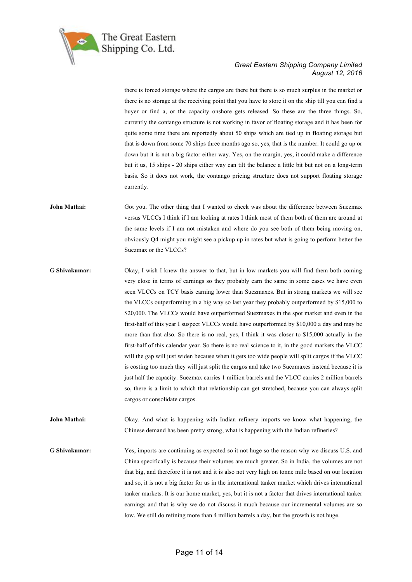

there is forced storage where the cargos are there but there is so much surplus in the market or there is no storage at the receiving point that you have to store it on the ship till you can find a buyer or find a, or the capacity onshore gets released. So these are the three things. So, currently the contango structure is not working in favor of floating storage and it has been for quite some time there are reportedly about 50 ships which are tied up in floating storage but that is down from some 70 ships three months ago so, yes, that is the number. It could go up or down but it is not a big factor either way. Yes, on the margin, yes, it could make a difference but it us, 15 ships - 20 ships either way can tilt the balance a little bit but not on a long-term basis. So it does not work, the contango pricing structure does not support floating storage currently.

**John Mathai:** Got you. The other thing that I wanted to check was about the difference between Suezmax versus VLCCs I think if I am looking at rates I think most of them both of them are around at the same levels if I am not mistaken and where do you see both of them being moving on, obviously Q4 might you might see a pickup up in rates but what is going to perform better the Suezmax or the VLCCs?

**G Shivakumar:** Okay, I wish I knew the answer to that, but in low markets you will find them both coming very close in terms of earnings so they probably earn the same in some cases we have even seen VLCCs on TCY basis earning lower than Suezmaxes. But in strong markets we will see the VLCCs outperforming in a big way so last year they probably outperformed by \$15,000 to \$20,000. The VLCCs would have outperformed Suezmaxes in the spot market and even in the first-half of this year I suspect VLCCs would have outperformed by \$10,000 a day and may be more than that also. So there is no real, yes, I think it was closer to \$15,000 actually in the first-half of this calendar year. So there is no real science to it, in the good markets the VLCC will the gap will just widen because when it gets too wide people will split cargos if the VLCC is costing too much they will just split the cargos and take two Suezmaxes instead because it is just half the capacity. Suezmax carries 1 million barrels and the VLCC carries 2 million barrels so, there is a limit to which that relationship can get stretched, because you can always split cargos or consolidate cargos.

**John Mathai:** Okay. And what is happening with Indian refinery imports we know what happening, the Chinese demand has been pretty strong, what is happening with the Indian refineries?

**G Shivakumar:** Yes, imports are continuing as expected so it not huge so the reason why we discuss U.S. and China specifically is because their volumes are much greater. So in India, the volumes are not that big, and therefore it is not and it is also not very high on tonne mile based on our location and so, it is not a big factor for us in the international tanker market which drives international tanker markets. It is our home market, yes, but it is not a factor that drives international tanker earnings and that is why we do not discuss it much because our incremental volumes are so low. We still do refining more than 4 million barrels a day, but the growth is not huge.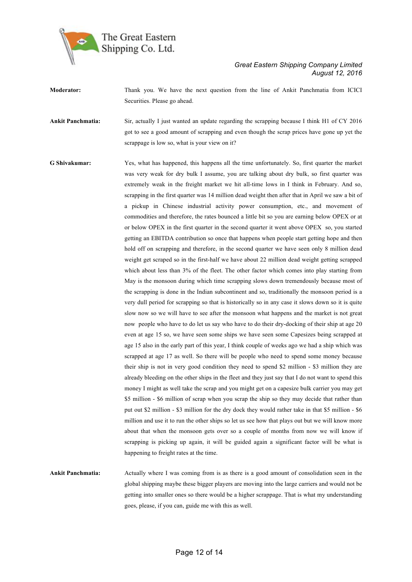

- **Moderator:** Thank you. We have the next question from the line of Ankit Panchmatia from ICICI Securities. Please go ahead.
- **Ankit Panchmatia:** Sir, actually I just wanted an update regarding the scrapping because I think H1 of CY 2016 got to see a good amount of scrapping and even though the scrap prices have gone up yet the scrappage is low so, what is your view on it?
- **G Shivakumar:** Yes, what has happened, this happens all the time unfortunately. So, first quarter the market was very weak for dry bulk I assume, you are talking about dry bulk, so first quarter was extremely weak in the freight market we hit all-time lows in I think in February. And so, scrapping in the first quarter was 14 million dead weight then after that in April we saw a bit of a pickup in Chinese industrial activity power consumption, etc., and movement of commodities and therefore, the rates bounced a little bit so you are earning below OPEX or at or below OPEX in the first quarter in the second quarter it went above OPEX so, you started getting an EBITDA contribution so once that happens when people start getting hope and then hold off on scrapping and therefore, in the second quarter we have seen only 8 million dead weight get scraped so in the first-half we have about 22 million dead weight getting scrapped which about less than 3% of the fleet. The other factor which comes into play starting from May is the monsoon during which time scrapping slows down tremendously because most of the scrapping is done in the Indian subcontinent and so, traditionally the monsoon period is a very dull period for scrapping so that is historically so in any case it slows down so it is quite slow now so we will have to see after the monsoon what happens and the market is not great now people who have to do let us say who have to do their dry-docking of their ship at age 20 even at age 15 so, we have seen some ships we have seen some Capesizes being scrapped at age 15 also in the early part of this year, I think couple of weeks ago we had a ship which was scrapped at age 17 as well. So there will be people who need to spend some money because their ship is not in very good condition they need to spend \$2 million - \$3 million they are already bleeding on the other ships in the fleet and they just say that I do not want to spend this money I might as well take the scrap and you might get on a capesize bulk carrier you may get \$5 million - \$6 million of scrap when you scrap the ship so they may decide that rather than put out \$2 million - \$3 million for the dry dock they would rather take in that \$5 million - \$6 million and use it to run the other ships so let us see how that plays out but we will know more about that when the monsoon gets over so a couple of months from now we will know if scrapping is picking up again, it will be guided again a significant factor will be what is happening to freight rates at the time.

**Ankit Panchmatia:** Actually where I was coming from is as there is a good amount of consolidation seen in the global shipping maybe these bigger players are moving into the large carriers and would not be getting into smaller ones so there would be a higher scrappage. That is what my understanding goes, please, if you can, guide me with this as well.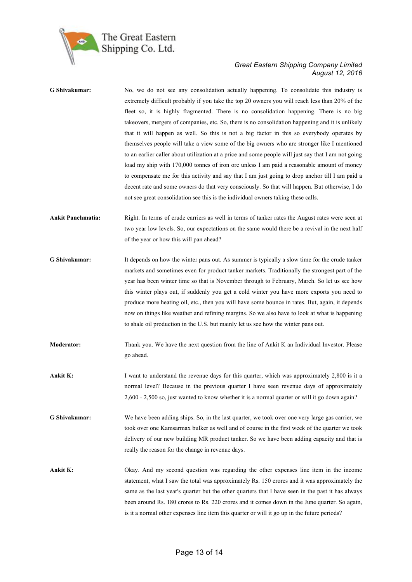

| G Shivakumar:            | No, we do not see any consolidation actually happening. To consolidate this industry is<br>extremely difficult probably if you take the top 20 owners you will reach less than 20% of the<br>fleet so, it is highly fragmented. There is no consolidation happening. There is no big<br>takeovers, mergers of companies, etc. So, there is no consolidation happening and it is unlikely<br>that it will happen as well. So this is not a big factor in this so everybody operates by<br>themselves people will take a view some of the big owners who are stronger like I mentioned<br>to an earlier caller about utilization at a price and some people will just say that I am not going<br>load my ship with 170,000 tonnes of iron ore unless I am paid a reasonable amount of money<br>to compensate me for this activity and say that I am just going to drop anchor till I am paid a<br>decent rate and some owners do that very consciously. So that will happen. But otherwise, I do<br>not see great consolidation see this is the individual owners taking these calls. |
|--------------------------|-------------------------------------------------------------------------------------------------------------------------------------------------------------------------------------------------------------------------------------------------------------------------------------------------------------------------------------------------------------------------------------------------------------------------------------------------------------------------------------------------------------------------------------------------------------------------------------------------------------------------------------------------------------------------------------------------------------------------------------------------------------------------------------------------------------------------------------------------------------------------------------------------------------------------------------------------------------------------------------------------------------------------------------------------------------------------------------|
| <b>Ankit Panchmatia:</b> | Right. In terms of crude carriers as well in terms of tanker rates the August rates were seen at<br>two year low levels. So, our expectations on the same would there be a revival in the next half<br>of the year or how this will pan ahead?                                                                                                                                                                                                                                                                                                                                                                                                                                                                                                                                                                                                                                                                                                                                                                                                                                      |
| G Shivakumar:            | It depends on how the winter pans out. As summer is typically a slow time for the crude tanker<br>markets and sometimes even for product tanker markets. Traditionally the strongest part of the<br>year has been winter time so that is November through to February, March. So let us see how<br>this winter plays out, if suddenly you get a cold winter you have more exports you need to<br>produce more heating oil, etc., then you will have some bounce in rates. But, again, it depends<br>now on things like weather and refining margins. So we also have to look at what is happening<br>to shale oil production in the U.S. but mainly let us see how the winter pans out.                                                                                                                                                                                                                                                                                                                                                                                             |
| <b>Moderator:</b>        | Thank you. We have the next question from the line of Ankit K an Individual Investor. Please<br>go ahead.                                                                                                                                                                                                                                                                                                                                                                                                                                                                                                                                                                                                                                                                                                                                                                                                                                                                                                                                                                           |
| Ankit K:                 | I want to understand the revenue days for this quarter, which was approximately 2,800 is it a<br>normal level? Because in the previous quarter I have seen revenue days of approximately<br>2,600 - 2,500 so, just wanted to know whether it is a normal quarter or will it go down again?                                                                                                                                                                                                                                                                                                                                                                                                                                                                                                                                                                                                                                                                                                                                                                                          |
| G Shivakumar:            | We have been adding ships. So, in the last quarter, we took over one very large gas carrier, we<br>took over one Kamsarmax bulker as well and of course in the first week of the quarter we took<br>delivery of our new building MR product tanker. So we have been adding capacity and that is<br>really the reason for the change in revenue days.                                                                                                                                                                                                                                                                                                                                                                                                                                                                                                                                                                                                                                                                                                                                |
| Ankit K:                 | Okay. And my second question was regarding the other expenses line item in the income<br>statement, what I saw the total was approximately Rs. 150 crores and it was approximately the<br>same as the last year's quarter but the other quarters that I have seen in the past it has always<br>been around Rs. 180 crores to Rs. 220 crores and it comes down in the June quarter. So again,<br>is it a normal other expenses line item this quarter or will it go up in the future periods?                                                                                                                                                                                                                                                                                                                                                                                                                                                                                                                                                                                        |